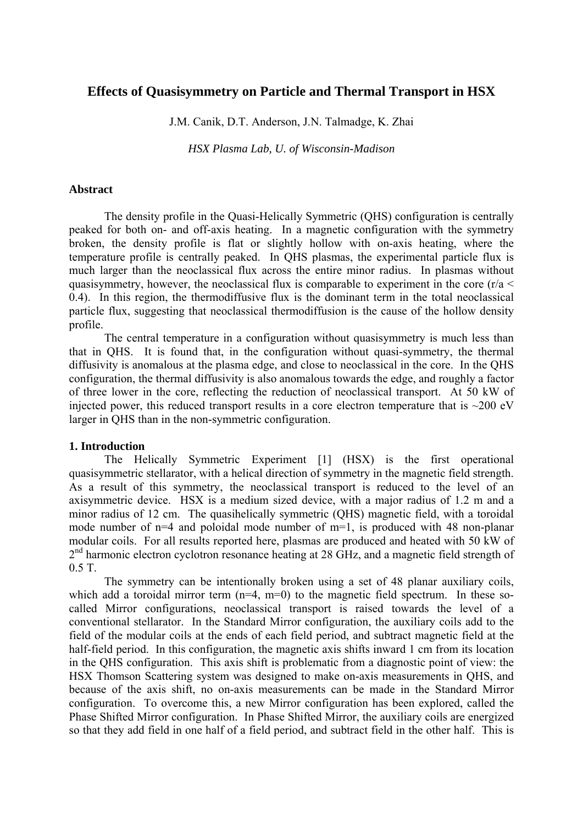# **Effects of Quasisymmetry on Particle and Thermal Transport in HSX**

J.M. Canik, D.T. Anderson, J.N. Talmadge, K. Zhai

*HSX Plasma Lab, U. of Wisconsin-Madison* 

## **Abstract**

The density profile in the Quasi-Helically Symmetric (QHS) configuration is centrally peaked for both on- and off-axis heating. In a magnetic configuration with the symmetry broken, the density profile is flat or slightly hollow with on-axis heating, where the temperature profile is centrally peaked. In QHS plasmas, the experimental particle flux is much larger than the neoclassical flux across the entire minor radius. In plasmas without quasisymmetry, however, the neoclassical flux is comparable to experiment in the core ( $r/a <$ 0.4). In this region, the thermodiffusive flux is the dominant term in the total neoclassical particle flux, suggesting that neoclassical thermodiffusion is the cause of the hollow density profile.

The central temperature in a configuration without quasisymmetry is much less than that in QHS. It is found that, in the configuration without quasi-symmetry, the thermal diffusivity is anomalous at the plasma edge, and close to neoclassical in the core. In the QHS configuration, the thermal diffusivity is also anomalous towards the edge, and roughly a factor of three lower in the core, reflecting the reduction of neoclassical transport. At 50 kW of injected power, this reduced transport results in a core electron temperature that is  $\sim$ 200 eV larger in QHS than in the non-symmetric configuration.

# **1. Introduction**

 The Helically Symmetric Experiment [1] (HSX) is the first operational quasisymmetric stellarator, with a helical direction of symmetry in the magnetic field strength. As a result of this symmetry, the neoclassical transport is reduced to the level of an axisymmetric device. HSX is a medium sized device, with a major radius of 1.2 m and a minor radius of 12 cm. The quasihelically symmetric (QHS) magnetic field, with a toroidal mode number of n=4 and poloidal mode number of m=1, is produced with 48 non-planar modular coils. For all results reported here, plasmas are produced and heated with 50 kW of  $2<sup>nd</sup>$  harmonic electron cyclotron resonance heating at 28 GHz, and a magnetic field strength of 0.5 T.

The symmetry can be intentionally broken using a set of 48 planar auxiliary coils, which add a toroidal mirror term  $(n=4, m=0)$  to the magnetic field spectrum. In these socalled Mirror configurations, neoclassical transport is raised towards the level of a conventional stellarator. In the Standard Mirror configuration, the auxiliary coils add to the field of the modular coils at the ends of each field period, and subtract magnetic field at the half-field period. In this configuration, the magnetic axis shifts inward 1 cm from its location in the QHS configuration. This axis shift is problematic from a diagnostic point of view: the HSX Thomson Scattering system was designed to make on-axis measurements in QHS, and because of the axis shift, no on-axis measurements can be made in the Standard Mirror configuration. To overcome this, a new Mirror configuration has been explored, called the Phase Shifted Mirror configuration. In Phase Shifted Mirror, the auxiliary coils are energized so that they add field in one half of a field period, and subtract field in the other half. This is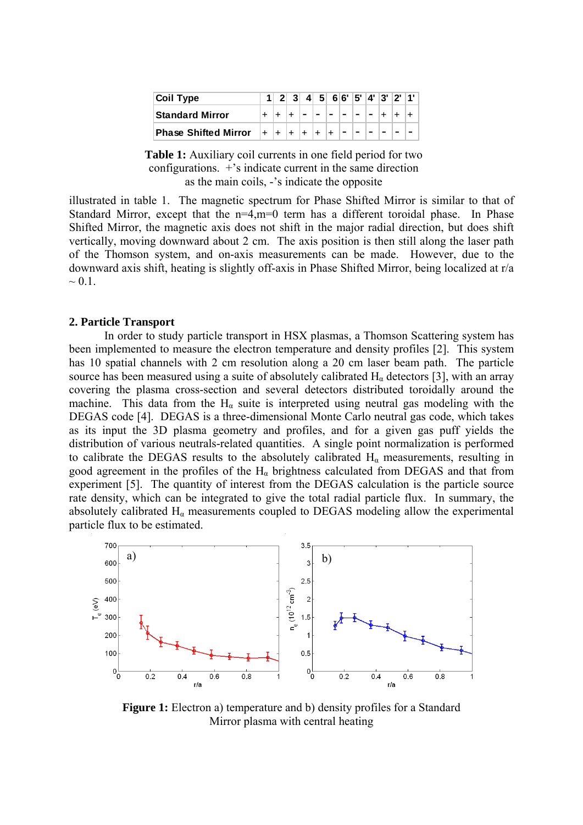| <b>Coil Type</b>            |  | 23 |       |      |       |  |  | 4 5 6 6 5 4 3 2 1 |  |
|-----------------------------|--|----|-------|------|-------|--|--|-------------------|--|
| <b>Standard Mirror</b>      |  |    |       |      |       |  |  |                   |  |
| <b>Phase Shifted Mirror</b> |  |    | $\pm$ | l∓ l | $\pm$ |  |  |                   |  |

**Table 1:** Auxiliary coil currents in one field period for two configurations. +'s indicate current in the same direction as the main coils, -'s indicate the opposite

illustrated in table 1. The magnetic spectrum for Phase Shifted Mirror is similar to that of Standard Mirror, except that the n=4,m=0 term has a different toroidal phase. In Phase Shifted Mirror, the magnetic axis does not shift in the major radial direction, but does shift vertically, moving downward about 2 cm. The axis position is then still along the laser path of the Thomson system, and on-axis measurements can be made. However, due to the downward axis shift, heating is slightly off-axis in Phase Shifted Mirror, being localized at r/a  $\sim 0.1$ .

## **2. Particle Transport**

 In order to study particle transport in HSX plasmas, a Thomson Scattering system has been implemented to measure the electron temperature and density profiles [2]. This system has 10 spatial channels with 2 cm resolution along a 20 cm laser beam path. The particle source has been measured using a suite of absolutely calibrated  $H_{\alpha}$  detectors [3], with an array covering the plasma cross-section and several detectors distributed toroidally around the machine. This data from the  $H<sub>a</sub>$  suite is interpreted using neutral gas modeling with the DEGAS code [4]. DEGAS is a three-dimensional Monte Carlo neutral gas code, which takes as its input the 3D plasma geometry and profiles, and for a given gas puff yields the distribution of various neutrals-related quantities. A single point normalization is performed to calibrate the DEGAS results to the absolutely calibrated  $H_{\alpha}$  measurements, resulting in good agreement in the profiles of the  $H<sub>\alpha</sub>$  brightness calculated from DEGAS and that from experiment [5]. The quantity of interest from the DEGAS calculation is the particle source rate density, which can be integrated to give the total radial particle flux. In summary, the absolutely calibrated  $H_{\alpha}$  measurements coupled to DEGAS modeling allow the experimental particle flux to be estimated.



**Figure 1:** Electron a) temperature and b) density profiles for a Standard Mirror plasma with central heating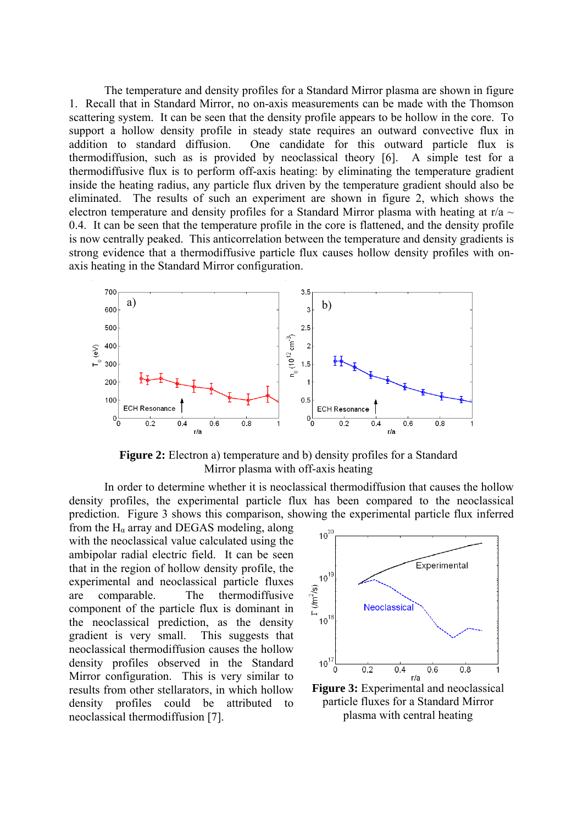The temperature and density profiles for a Standard Mirror plasma are shown in figure 1. Recall that in Standard Mirror, no on-axis measurements can be made with the Thomson scattering system. It can be seen that the density profile appears to be hollow in the core. To support a hollow density profile in steady state requires an outward convective flux in addition to standard diffusion. One candidate for this outward particle flux is thermodiffusion, such as is provided by neoclassical theory [6]. A simple test for a thermodiffusive flux is to perform off-axis heating: by eliminating the temperature gradient inside the heating radius, any particle flux driven by the temperature gradient should also be eliminated. The results of such an experiment are shown in figure 2, which shows the electron temperature and density profiles for a Standard Mirror plasma with heating at r/a  $\sim$ 0.4. It can be seen that the temperature profile in the core is flattened, and the density profile is now centrally peaked. This anticorrelation between the temperature and density gradients is strong evidence that a thermodiffusive particle flux causes hollow density profiles with onaxis heating in the Standard Mirror configuration.



**Figure 2:** Electron a) temperature and b) density profiles for a Standard Mirror plasma with off-axis heating

 In order to determine whether it is neoclassical thermodiffusion that causes the hollow density profiles, the experimental particle flux has been compared to the neoclassical prediction. Figure 3 shows this comparison, showing the experimental particle flux inferred

from the  $H_{\alpha}$  array and DEGAS modeling, along with the neoclassical value calculated using the ambipolar radial electric field. It can be seen that in the region of hollow density profile, the experimental and neoclassical particle fluxes are comparable. The thermodiffusive component of the particle flux is dominant in the neoclassical prediction, as the density gradient is very small. This suggests that neoclassical thermodiffusion causes the hollow density profiles observed in the Standard Mirror configuration. This is very similar to results from other stellarators, in which hollow density profiles could be attributed to neoclassical thermodiffusion [7].



particle fluxes for a Standard Mirror plasma with central heating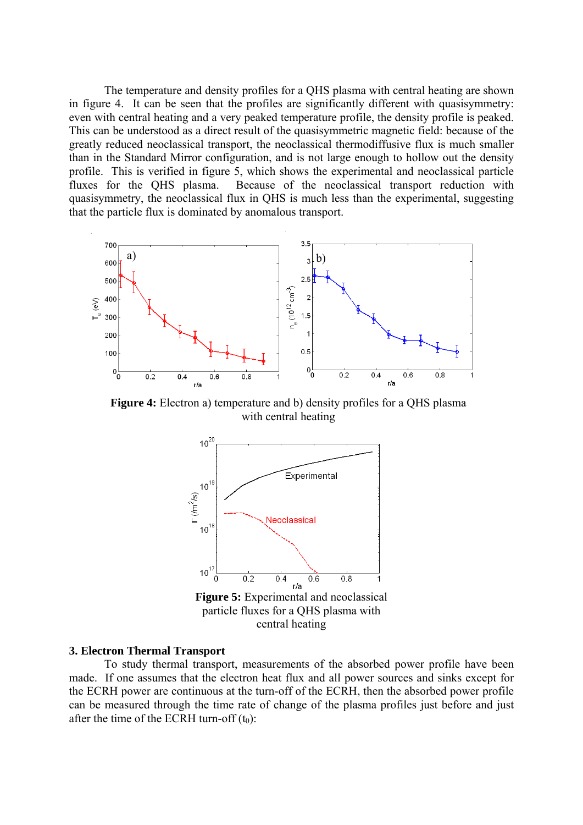The temperature and density profiles for a QHS plasma with central heating are shown in figure 4. It can be seen that the profiles are significantly different with quasisymmetry: even with central heating and a very peaked temperature profile, the density profile is peaked. This can be understood as a direct result of the quasisymmetric magnetic field: because of the greatly reduced neoclassical transport, the neoclassical thermodiffusive flux is much smaller than in the Standard Mirror configuration, and is not large enough to hollow out the density profile. This is verified in figure 5, which shows the experimental and neoclassical particle fluxes for the QHS plasma. Because of the neoclassical transport reduction with quasisymmetry, the neoclassical flux in QHS is much less than the experimental, suggesting that the particle flux is dominated by anomalous transport.



**Figure 4:** Electron a) temperature and b) density profiles for a OHS plasma with central heating



#### **. Electron Thermal Transport 3**

To study thermal transport, measurements of the absorbed power profile have been made. If one assumes that the electron heat flux and all power sources and sinks except for the ECRH power are continuous at the turn-off of the ECRH, then the absorbed power profile can be measured through the time rate of change of the plasma profiles just before and just after the time of the ECRH turn-off  $(t_0)$ :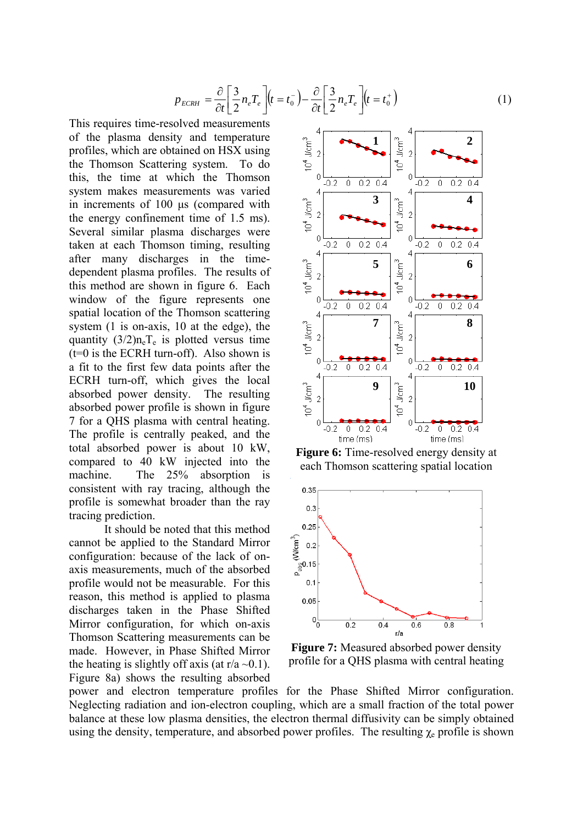$$
p_{ECRH} = \frac{\partial}{\partial t} \left[ \frac{3}{2} n_e T_e \right] (t = t_0^-) - \frac{\partial}{\partial t} \left[ \frac{3}{2} n_e T_e \right] (t = t_0^+) \tag{1}
$$

This requires time-resolved measurements of the plasma density and temperature profiles, which are obtained on HSX using the Thomson Scattering system. To do this, the time at which the Thomson system makes measurements was varied in increments of 100 μs (compared with the energy confinement time of 1.5 ms). Several similar plasma discharges were taken at each Thomson timing, resulting after many discharges in the timedependent plasma profiles. The results of this method are shown in figure 6. Each window of the figure represents one spatial location of the Thomson scattering system (1 is on-axis, 10 at the edge), the quantity  $(3/2)n_eT_e$  is plotted versus time  $(t=0)$  is the ECRH turn-off). Also shown is a fit to the first few data points after the ECRH turn-off, which gives the local absorbed power density. The resulting absorbed power profile is shown in figure 7 for a QHS plasma with central heating. The profile is centrally peaked, and the total absorbed power is about 10 kW, compared to 40 kW injected into the machine. The 25% absorption is consistent with ray tracing, although the profile is somewhat broader than the ray tracing prediction.

It should be noted that this method cannot be applied to the Standard Mirror configuration: because of the lack of onaxis measurements, much of the absorbed profile would not be measurable. For this reason, this method is applied to plasma discharges taken in the Phase Shifted Mirror configuration, for which on-axis Thomson Scattering measurements can be made. However, in Phase Shifted Mirror the heating is slightly off axis (at  $r/a \sim 0.1$ ). Figure 8a) shows the resulting absorbed



**Figure 6:** Time-resolved energy density at each Thomson scattering spatial location



**Figure 7:** Measured absorbed power density profile for a QHS plasma with central heating

power and electron temperature profiles for the Phase Shifted Mirror configuration. Neglecting radiation and ion-electron coupling, which are a small fraction of the total power balance at these low plasma densities, the electron thermal diffusivity can be simply obtained using the density, temperature, and absorbed power profiles. The resulting  $\chi_e$  profile is shown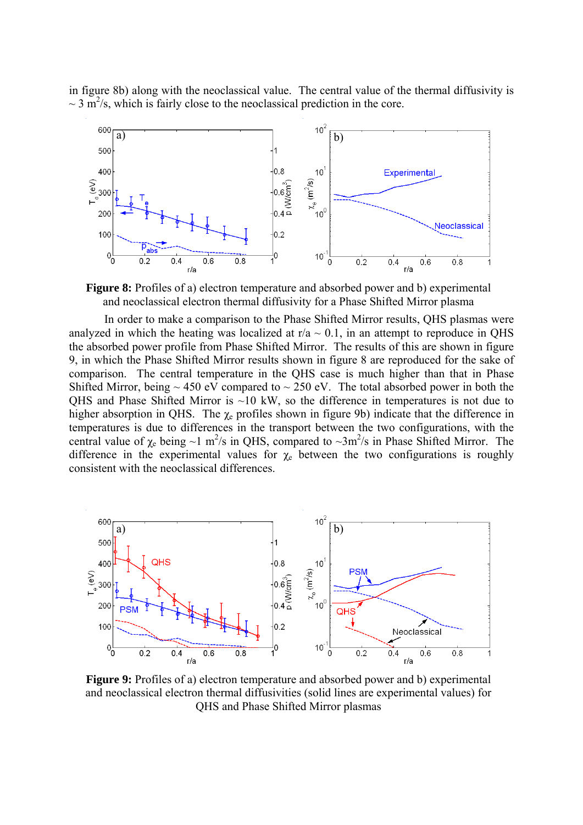in figure 8b) along with the neoclassical value. The central value of the thermal diffusivity is  $\sim$  3 m<sup>2</sup>/s, which is fairly close to the neoclassical prediction in the core.



**Figure 8:** Profiles of a) electron temperature and absorbed power and b) experimental and neoclassical electron thermal diffusivity for a Phase Shifted Mirror plasma

In order to make a comparison to the Phase Shifted Mirror results, QHS plasmas were analyzed in which the heating was localized at  $r/a \sim 0.1$ , in an attempt to reproduce in QHS the absorbed power profile from Phase Shifted Mirror. The results of this are shown in figure 9, in which the Phase Shifted Mirror results shown in figure 8 are reproduced for the sake of comparison. The central temperature in the QHS case is much higher than that in Phase Shifted Mirror, being  $\sim$  450 eV compared to  $\sim$  250 eV. The total absorbed power in both the QHS and Phase Shifted Mirror is  $~10$  kW, so the difference in temperatures is not due to higher absorption in QHS. The  $\chi_e$  profiles shown in figure 9b) indicate that the difference in temperatures is due to differences in the transport between the two configurations, with the central value of  $\chi_e$  being ~1 m<sup>2</sup>/s in QHS, compared to ~3m<sup>2</sup>/s in Phase Shifted Mirror. The difference in the experimental values for  $\chi_e$  between the two configurations is roughly consistent with the neoclassical differences.



**Figure 9:** Profiles of a) electron temperature and absorbed power and b) experimental and neoclassical electron thermal diffusivities (solid lines are experimental values) for QHS and Phase Shifted Mirror plasmas